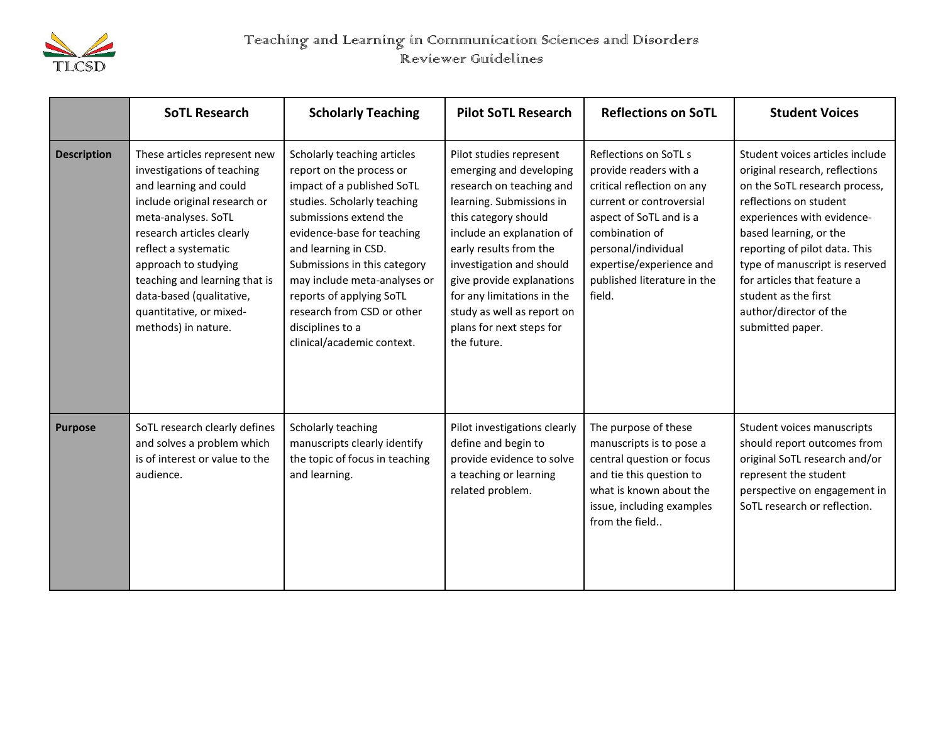

## Teaching and Learning in Communication Sciences and Disorders Reviewer Guidelines

|                    | <b>SoTL Research</b>                                                                                                                                                                                                                                                                                                                    | <b>Scholarly Teaching</b>                                                                                                                                                                                                                                                                                                                                                        | <b>Pilot SoTL Research</b>                                                                                                                                                                                                                                                                                                                                | <b>Reflections on SoTL</b>                                                                                                                                                                                                                         | <b>Student Voices</b>                                                                                                                                                                                                                                                                                                                                        |
|--------------------|-----------------------------------------------------------------------------------------------------------------------------------------------------------------------------------------------------------------------------------------------------------------------------------------------------------------------------------------|----------------------------------------------------------------------------------------------------------------------------------------------------------------------------------------------------------------------------------------------------------------------------------------------------------------------------------------------------------------------------------|-----------------------------------------------------------------------------------------------------------------------------------------------------------------------------------------------------------------------------------------------------------------------------------------------------------------------------------------------------------|----------------------------------------------------------------------------------------------------------------------------------------------------------------------------------------------------------------------------------------------------|--------------------------------------------------------------------------------------------------------------------------------------------------------------------------------------------------------------------------------------------------------------------------------------------------------------------------------------------------------------|
| <b>Description</b> | These articles represent new<br>investigations of teaching<br>and learning and could<br>include original research or<br>meta-analyses. SoTL<br>research articles clearly<br>reflect a systematic<br>approach to studying<br>teaching and learning that is<br>data-based (qualitative,<br>quantitative, or mixed-<br>methods) in nature. | Scholarly teaching articles<br>report on the process or<br>impact of a published SoTL<br>studies. Scholarly teaching<br>submissions extend the<br>evidence-base for teaching<br>and learning in CSD.<br>Submissions in this category<br>may include meta-analyses or<br>reports of applying SoTL<br>research from CSD or other<br>disciplines to a<br>clinical/academic context. | Pilot studies represent<br>emerging and developing<br>research on teaching and<br>learning. Submissions in<br>this category should<br>include an explanation of<br>early results from the<br>investigation and should<br>give provide explanations<br>for any limitations in the<br>study as well as report on<br>plans for next steps for<br>the future. | Reflections on SoTL s<br>provide readers with a<br>critical reflection on any<br>current or controversial<br>aspect of SoTL and is a<br>combination of<br>personal/individual<br>expertise/experience and<br>published literature in the<br>field. | Student voices articles include<br>original research, reflections<br>on the SoTL research process,<br>reflections on student<br>experiences with evidence-<br>based learning, or the<br>reporting of pilot data. This<br>type of manuscript is reserved<br>for articles that feature a<br>student as the first<br>author/director of the<br>submitted paper. |
| <b>Purpose</b>     | SoTL research clearly defines<br>and solves a problem which<br>is of interest or value to the<br>audience.                                                                                                                                                                                                                              | Scholarly teaching<br>manuscripts clearly identify<br>the topic of focus in teaching<br>and learning.                                                                                                                                                                                                                                                                            | Pilot investigations clearly<br>define and begin to<br>provide evidence to solve<br>a teaching or learning<br>related problem.                                                                                                                                                                                                                            | The purpose of these<br>manuscripts is to pose a<br>central question or focus<br>and tie this question to<br>what is known about the<br>issue, including examples<br>from the field                                                                | Student voices manuscripts<br>should report outcomes from<br>original SoTL research and/or<br>represent the student<br>perspective on engagement in<br>SoTL research or reflection.                                                                                                                                                                          |